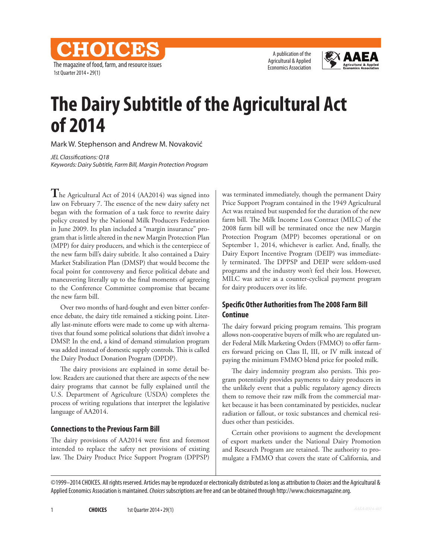CHOICES The magazine of food, farm, and resource issues 1st Quarter 2014 • 29(1)

A publication of the Agricultural & Applied Economics Association



# **The Dairy Subtitle of the Agricultural Act of 2014**

Mark W. Stephenson and Andrew M. Novaković

*JEL Classifications: Q18 Keywords: Dairy Subtitle, Farm Bill, Margin Protection Program*

**T**he Agricultural Act of 2014 (AA2014) was signed into law on February 7. The essence of the new dairy safety net began with the formation of a task force to rewrite dairy policy created by the National Milk Producers Federation in June 2009. Its plan included a "margin insurance" program that is little altered in the new Margin Protection Plan (MPP) for dairy producers, and which is the centerpiece of the new farm bill's dairy subtitle. It also contained a Dairy Market Stabilization Plan (DMSP) that would become the focal point for controversy and fierce political debate and maneuvering literally up to the final moments of agreeing to the Conference Committee compromise that became the new farm bill.

Over two months of hard-fought and even bitter conference debate, the dairy title remained a sticking point. Literally last-minute efforts were made to come up with alternatives that found some political solutions that didn't involve a DMSP. In the end, a kind of demand stimulation program was added instead of domestic supply controls. This is called the Dairy Product Donation Program (DPDP).

The dairy provisions are explained in some detail below. Readers are cautioned that there are aspects of the new dairy programs that cannot be fully explained until the U.S. Department of Agriculture (USDA) completes the process of writing regulations that interpret the legislative language of AA2014.

## **Connections to the Previous Farm Bill**

The dairy provisions of AA2014 were first and foremost intended to replace the safety net provisions of existing law. The Dairy Product Price Support Program (DPPSP)

was terminated immediately, though the permanent Dairy Price Support Program contained in the 1949 Agricultural Act was retained but suspended for the duration of the new farm bill. The Milk Income Loss Contract (MILC) of the 2008 farm bill will be terminated once the new Margin Protection Program (MPP) becomes operational or on September 1, 2014, whichever is earlier. And, finally, the Dairy Export Incentive Program (DEIP) was immediately terminated. The DPPSP and DEIP were seldom-used programs and the industry won't feel their loss. However, MILC was active as a counter-cyclical payment program for dairy producers over its life.

## **Specific Other Authorities from The 2008 Farm Bill Continue**

The dairy forward pricing program remains. This program allows non-cooperative buyers of milk who are regulated under Federal Milk Marketing Orders (FMMO) to offer farmers forward pricing on Class II, III, or IV milk instead of paying the minimum FMMO blend price for pooled milk.

The dairy indemnity program also persists. This program potentially provides payments to dairy producers in the unlikely event that a public regulatory agency directs them to remove their raw milk from the commercial market because it has been contaminated by pesticides, nuclear radiation or fallout, or toxic substances and chemical residues other than pesticides.

Certain other provisions to augment the development of export markets under the National Dairy Promotion and Research Program are retained. The authority to promulgate a FMMO that covers the state of California, and

©1999–2014 CHOICES. All rights reserved. Articles may be reproduced or electronically distributed as long as attribution to *Choices* and the Agricultural & Applied Economics Association is maintained. *Choices* subscriptions are free and can be obtained through http://www.choicesmagazine.org.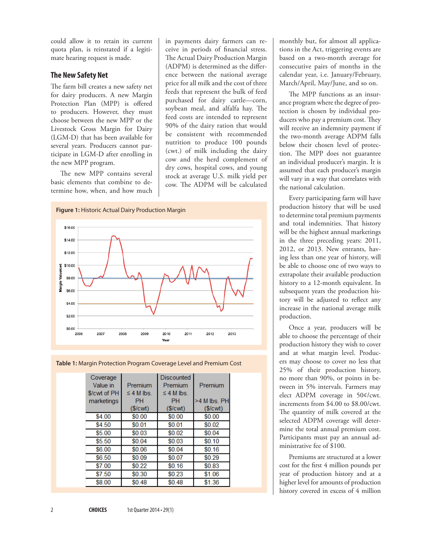could allow it to retain its current quota plan, is reinstated if a legitimate hearing request is made.

### **The New Safety Net**

The farm bill creates a new safety net for dairy producers. A new Margin Protection Plan (MPP) is offered to producers. However, they must choose between the new MPP or the Livestock Gross Margin for Dairy (LGM-D) that has been available for several years. Producers cannot participate in LGM-D after enrolling in the new MPP program.

The new MPP contains several basic elements that combine to determine how, when, and how much

in payments dairy farmers can receive in periods of financial stress. The Actual Dairy Production Margin (ADPM) is determined as the difference between the national average price for all milk and the cost of three feeds that represent the bulk of feed purchased for dairy cattle—corn, soybean meal, and alfalfa hay. The feed costs are intended to represent 90% of the dairy ration that would be consistent with recommended nutrition to produce 100 pounds (cwt.) of milk including the dairy cow and the herd complement of dry cows, hospital cows, and young stock at average U.S. milk yield per cow. The ADPM will be calculated





**Table 1:** Margin Protection Program Coverage Level and Premium Cost

| Coverage<br>Value in<br>$%$ $\mathcal{C}$ wt of PH | Premium<br>$\leq$ 4 M lbs | <b>Discounted</b><br>Premium<br>$\leq$ 4 M lbs | Premium        |
|----------------------------------------------------|---------------------------|------------------------------------------------|----------------|
| marketings                                         | PН                        | PH                                             | $>4$ M lbs. PH |
|                                                    | (S/cwt)                   | (S/cwt)                                        | (S/cwt)        |
| \$4.00                                             | \$0.00                    | \$0.00                                         | \$0.00         |
| \$4.50                                             | \$0.01                    | \$0.01                                         | \$0.02         |
| \$5.00                                             | \$0.03                    | \$0.02                                         | \$0.04         |
| \$5.50                                             | \$0.04                    | \$0.03                                         | \$0,10         |
| \$6.00                                             | \$0.06                    | \$0.04                                         | \$0.16         |
| \$6.50                                             | \$0.09                    | \$0.07                                         | \$0.29         |
| \$7.00                                             | \$0.22                    | \$0.16                                         | \$0.83         |
| \$7.50                                             | \$0.30                    | \$0.23                                         | \$1.06         |
| \$8.00                                             | \$0.48                    | \$0.48                                         | \$1.36         |

monthly but, for almost all applications in the Act, triggering events are based on a two-month average for consecutive pairs of months in the calendar year, i.e. January/February, March/April, May/June, and so on.

The MPP functions as an insurance program where the degree of protection is chosen by individual producers who pay a premium cost. They will receive an indemnity payment if the two-month average ADPM falls below their chosen level of protection. The MPP does not guarantee an individual producer's margin. It is assumed that each producer's margin will vary in a way that correlates with the national calculation.

Every participating farm will have production history that will be used to determine total premium payments and total indemnities. That history will be the highest annual marketings in the three preceding years: 2011, 2012, or 2013. New entrants, having less than one year of history, will be able to choose one of two ways to extrapolate their available production history to a 12-month equivalent. In subsequent years the production history will be adjusted to reflect any increase in the national average milk production.

Once a year, producers will be able to choose the percentage of their production history they wish to cover and at what margin level. Producers may choose to cover no less that 25% of their production history, no more than 90%, or points in between in 5% intervals. Farmers may elect ADPM coverage in 50¢/cwt. increments from \$4.00 to \$8.00/cwt. The quantity of milk covered at the selected ADPM coverage will determine the total annual premium cost. Participants must pay an annual administrative fee of \$100.

Premiums are structured at a lower cost for the first 4 million pounds per year of production history and at a higher level for amounts of production history covered in excess of 4 million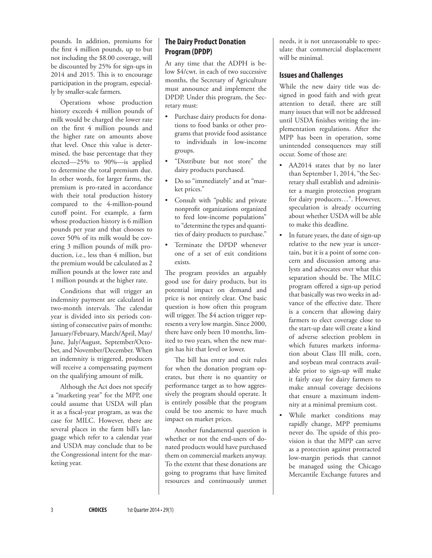pounds. In addition, premiums for the first 4 million pounds, up to but not including the \$8.00 coverage, will be discounted by 25% for sign-ups in 2014 and 2015. This is to encourage participation in the program, especially by smaller-scale farmers.

Operations whose production history exceeds 4 million pounds of milk would be charged the lower rate on the first 4 million pounds and the higher rate on amounts above that level. Once this value is determined, the base percentage that they elected—25% to 90%—is applied to determine the total premium due. In other words, for larger farms, the premium is pro-rated in accordance with their total production history compared to the 4-million-pound cutoff point. For example, a farm whose production history is 6 million pounds per year and that chooses to cover 50% of its milk would be covering 3 million pounds of milk production, i.e., less than 4 million, but the premium would be calculated as 2 million pounds at the lower rate and 1 million pounds at the higher rate.

Conditions that will trigger an indemnity payment are calculated in two-month intervals. The calendar year is divided into six periods consisting of consecutive pairs of months: January/February, March/April, May/ June, July/August, September/October, and November/December. When an indemnity is triggered, producers will receive a compensating payment on the qualifying amount of milk.

Although the Act does not specify a "marketing year" for the MPP, one could assume that USDA will plan it as a fiscal-year program, as was the case for MILC. However, there are several places in the farm bill's language which refer to a calendar year and USDA may conclude that to be the Congressional intent for the marketing year.

# **The Dairy Product Donation Program (DPDP)**

At any time that the ADPH is below \$4/cwt. in each of two successive months, the Secretary of Agriculture must announce and implement the DPDP. Under this program, the Secretary must:

- Purchase dairy products for donations to food banks or other programs that provide food assistance to individuals in low-income groups.
- • "Distribute but not store" the dairy products purchased.
- Do so "immediately" and at "market prices."
- Consult with "public and private nonprofit organizations organized to feed low-income populations" to "determine the types and quantities of dairy products to purchase."
- Terminate the DPDP whenever one of a set of exit conditions exists.

The program provides an arguably good use for dairy products, but its potential impact on demand and price is not entirely clear. One basic question is how often this program will trigger. The \$4 action trigger represents a very low margin. Since 2000, there have only been 10 months, limited to two years, when the new margin has hit that level or lower.

The bill has entry and exit rules for when the donation program operates, but there is no quantity or performance target as to how aggressively the program should operate. It is entirely possible that the program could be too anemic to have much impact on market prices.

Another fundamental question is whether or not the end-users of donated products would have purchased them on commercial markets anyway. To the extent that these donations are going to programs that have limited resources and continuously unmet

needs, it is not unreasonable to speculate that commercial displacement will be minimal.

## **Issues and Challenges**

While the new dairy title was designed in good faith and with great attention to detail, there are still many issues that will not be addressed until USDA finishes writing the implementation regulations. After the MPP has been in operation, some unintended consequences may still occur. Some of those are:

- AA2014 states that by no later than September 1, 2014, "the Secretary shall establish and administer a margin protection program for dairy producers…". However, speculation is already occurring about whether USDA will be able to make this deadline.
- • In future years, the date of sign-up relative to the new year is uncertain, but it is a point of some concern and discussion among analysts and advocates over what this separation should be. The MILC program offered a sign-up period that basically was two weeks in advance of the effective date. There is a concern that allowing dairy farmers to elect coverage close to the start-up date will create a kind of adverse selection problem in which futures markets information about Class III milk, corn, and soybean meal contracts available prior to sign-up will make it fairly easy for dairy farmers to make annual coverage decisions that ensure a maximum indemnity at a minimal premium cost.
- While market conditions may rapidly change, MPP premiums never do. The upside of this provision is that the MPP can serve as a protection against protracted low-margin periods that cannot be managed using the Chicago Mercantile Exchange futures and